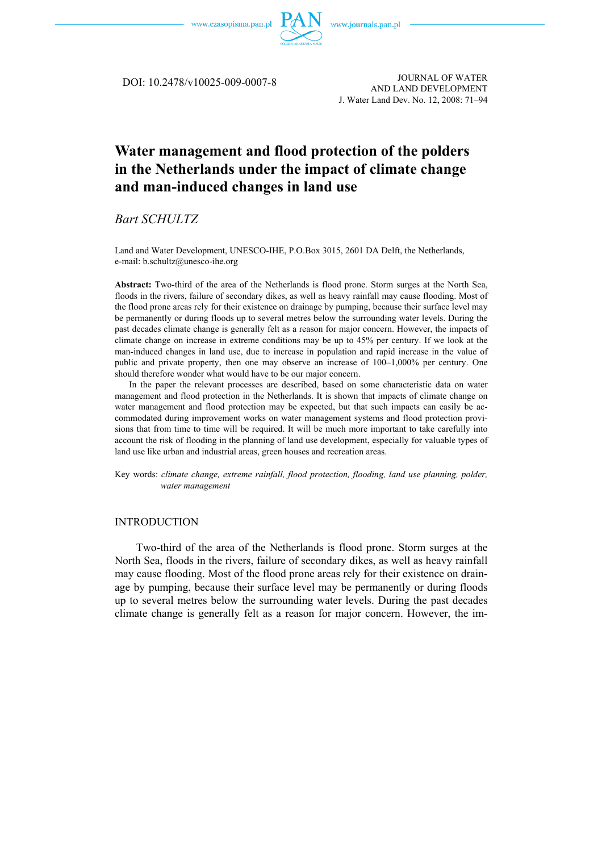

DOI: 10.2478/v10025-009-0007-8

JOURNAL OF WATER AND LAND DEVELOPMENT J. Water Land Dev. No. 12, 2008: 71–94

# **Water management and flood protection of the polders in the Netherlands under the impact of climate change and man-induced changes in land use**

*Bart SCHULTZ* 

Land and Water Development, UNESCO-IHE, P.O.Box 3015, 2601 DA Delft, the Netherlands, e-mail: b.schultz@unesco-ihe.org

**Abstract:** Two-third of the area of the Netherlands is flood prone. Storm surges at the North Sea, floods in the rivers, failure of secondary dikes, as well as heavy rainfall may cause flooding. Most of the flood prone areas rely for their existence on drainage by pumping, because their surface level may be permanently or during floods up to several metres below the surrounding water levels. During the past decades climate change is generally felt as a reason for major concern. However, the impacts of climate change on increase in extreme conditions may be up to 45% per century. If we look at the man-induced changes in land use, due to increase in population and rapid increase in the value of public and private property, then one may observe an increase of 100–1,000% per century. One should therefore wonder what would have to be our major concern.

In the paper the relevant processes are described, based on some characteristic data on water management and flood protection in the Netherlands. It is shown that impacts of climate change on water management and flood protection may be expected, but that such impacts can easily be accommodated during improvement works on water management systems and flood protection provisions that from time to time will be required. It will be much more important to take carefully into account the risk of flooding in the planning of land use development, especially for valuable types of land use like urban and industrial areas, green houses and recreation areas.

Key words: *climate change, extreme rainfall, flood protection, flooding, land use planning, polder, water management* 

### INTRODUCTION

Two-third of the area of the Netherlands is flood prone. Storm surges at the North Sea, floods in the rivers, failure of secondary dikes, as well as heavy rainfall may cause flooding. Most of the flood prone areas rely for their existence on drainage by pumping, because their surface level may be permanently or during floods up to several metres below the surrounding water levels. During the past decades climate change is generally felt as a reason for major concern. However, the im-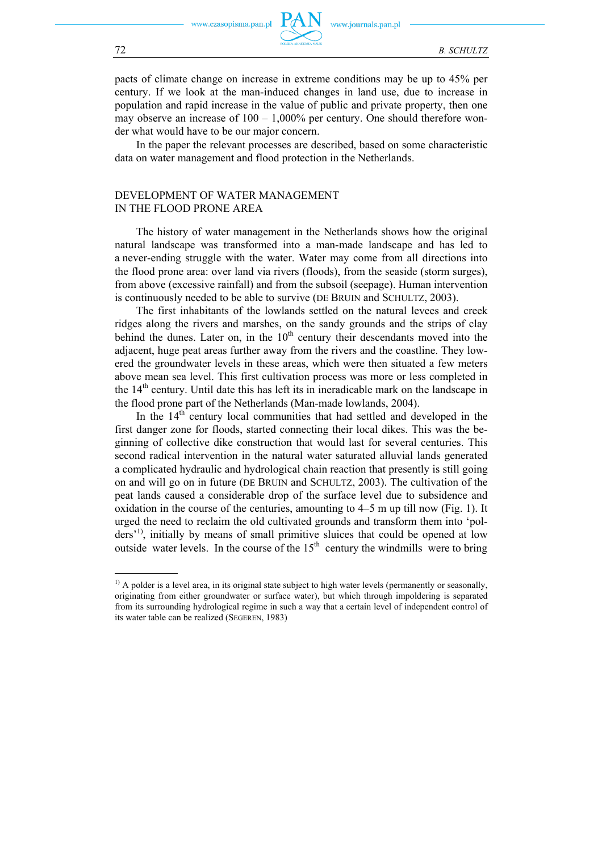www.journals.pan.pl

pacts of climate change on increase in extreme conditions may be up to 45% per century. If we look at the man-induced changes in land use, due to increase in population and rapid increase in the value of public and private property, then one may observe an increase of  $100 - 1,000\%$  per century. One should therefore wonder what would have to be our major concern.

In the paper the relevant processes are described, based on some characteristic data on water management and flood protection in the Netherlands.

## DEVELOPMENT OF WATER MANAGEMENT IN THE FLOOD PRONE AREA

The history of water management in the Netherlands shows how the original natural landscape was transformed into a man-made landscape and has led to a never-ending struggle with the water. Water may come from all directions into the flood prone area: over land via rivers (floods), from the seaside (storm surges), from above (excessive rainfall) and from the subsoil (seepage). Human intervention is continuously needed to be able to survive (DE BRUIN and SCHULTZ, 2003).

The first inhabitants of the lowlands settled on the natural levees and creek ridges along the rivers and marshes, on the sandy grounds and the strips of clay behind the dunes. Later on, in the  $10<sup>th</sup>$  century their descendants moved into the adjacent, huge peat areas further away from the rivers and the coastline. They lowered the groundwater levels in these areas, which were then situated a few meters above mean sea level. This first cultivation process was more or less completed in the  $14<sup>th</sup>$  century. Until date this has left its in ineradicable mark on the landscape in the flood prone part of the Netherlands (Man-made lowlands, 2004).

In the  $14<sup>th</sup>$  century local communities that had settled and developed in the first danger zone for floods, started connecting their local dikes. This was the beginning of collective dike construction that would last for several centuries. This second radical intervention in the natural water saturated alluvial lands generated a complicated hydraulic and hydrological chain reaction that presently is still going on and will go on in future (DE BRUIN and SCHULTZ, 2003). The cultivation of the peat lands caused a considerable drop of the surface level due to subsidence and oxidation in the course of the centuries, amounting to 4–5 m up till now (Fig. 1). It urged the need to reclaim the old cultivated grounds and transform them into 'polders<sup>'1)</sup>, initially by means of small primitive sluices that could be opened at low outside water levels. In the course of the  $15<sup>th</sup>$  century the windmills were to bring

 $\overline{\phantom{0}}$ 

<sup>&</sup>lt;sup>1)</sup> A polder is a level area, in its original state subject to high water levels (permanently or seasonally, originating from either groundwater or surface water), but which through impoldering is separated from its surrounding hydrological regime in such a way that a certain level of independent control of its water table can be realized (SEGEREN, 1983)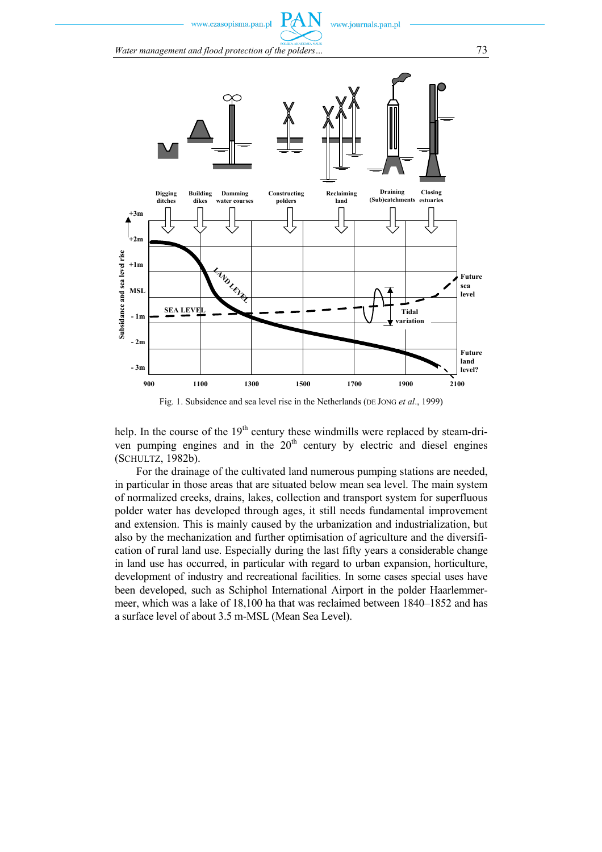www.czasopisma.pan.pl

*Water management and flood protection of the polders…* 73



Fig. 1. Subsidence and sea level rise in the Netherlands (DE JONG *et al*., 1999)

help. In the course of the  $19<sup>th</sup>$  century these windmills were replaced by steam-driven pumping engines and in the  $20<sup>th</sup>$  century by electric and diesel engines (SCHULTZ, 1982b).

For the drainage of the cultivated land numerous pumping stations are needed, in particular in those areas that are situated below mean sea level. The main system of normalized creeks, drains, lakes, collection and transport system for superfluous polder water has developed through ages, it still needs fundamental improvement and extension. This is mainly caused by the urbanization and industrialization, but also by the mechanization and further optimisation of agriculture and the diversification of rural land use. Especially during the last fifty years a considerable change in land use has occurred, in particular with regard to urban expansion, horticulture, development of industry and recreational facilities. In some cases special uses have been developed, such as Schiphol International Airport in the polder Haarlemmermeer, which was a lake of 18,100 ha that was reclaimed between 1840–1852 and has a surface level of about 3.5 m-MSL (Mean Sea Level).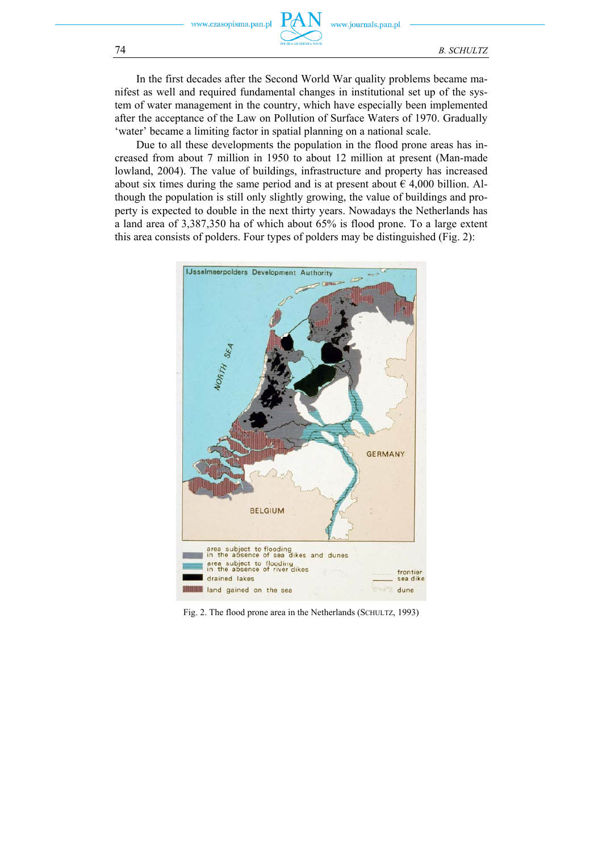In the first decades after the Second World War quality problems became manifest as well and required fundamental changes in institutional set up of the system of water management in the country, which have especially been implemented after the acceptance of the Law on Pollution of Surface Waters of 1970. Gradually 'water' became a limiting factor in spatial planning on a national scale.

Due to all these developments the population in the flood prone areas has increased from about 7 million in 1950 to about 12 million at present (Man-made lowland, 2004). The value of buildings, infrastructure and property has increased about six times during the same period and is at present about  $\epsilon$  4,000 billion. Although the population is still only slightly growing, the value of buildings and property is expected to double in the next thirty years. Nowadays the Netherlands has a land area of 3,387,350 ha of which about 65% is flood prone. To a large extent this area consists of polders. Four types of polders may be distinguished (Fig. 2):



Fig. 2. The flood prone area in the Netherlands (SCHULTZ, 1993)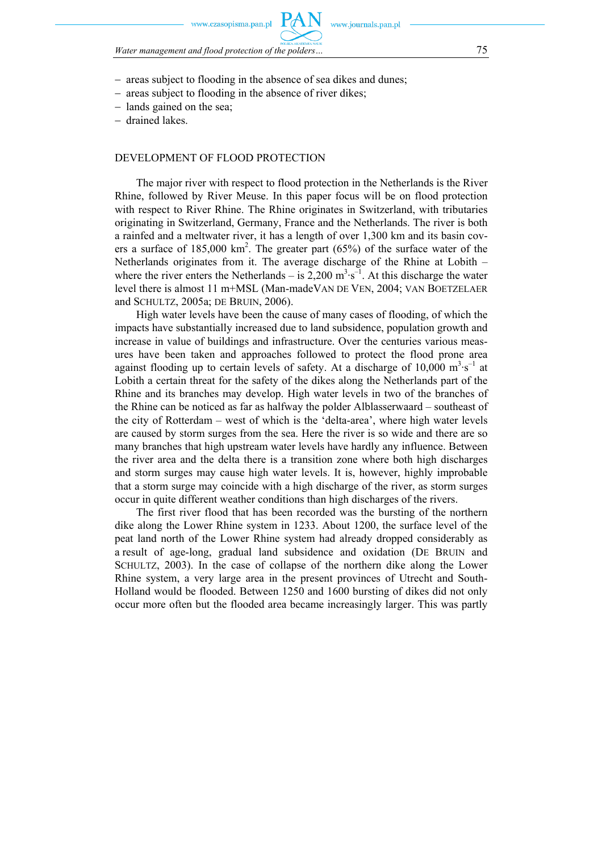sonisma nan nl

*Water management and flood protection of the polders…* 75

- − areas subject to flooding in the absence of sea dikes and dunes;
- − areas subject to flooding in the absence of river dikes;
- − lands gained on the sea;
- − drained lakes.

### DEVELOPMENT OF FLOOD PROTECTION

The major river with respect to flood protection in the Netherlands is the River Rhine, followed by River Meuse. In this paper focus will be on flood protection with respect to River Rhine. The Rhine originates in Switzerland, with tributaries originating in Switzerland, Germany, France and the Netherlands. The river is both a rainfed and a meltwater river, it has a length of over 1,300 km and its basin covers a surface of  $185,000 \text{ km}^2$ . The greater part (65%) of the surface water of the Netherlands originates from it. The average discharge of the Rhine at Lobith – where the river enters the Netherlands – is  $2,200 \text{ m}^3 \cdot \text{s}^{-1}$ . At this discharge the water level there is almost 11 m+MSL (Man-madeVAN DE VEN, 2004; VAN BOETZELAER and SCHULTZ, 2005a; DE BRUIN, 2006).

High water levels have been the cause of many cases of flooding, of which the impacts have substantially increased due to land subsidence, population growth and increase in value of buildings and infrastructure. Over the centuries various measures have been taken and approaches followed to protect the flood prone area against flooding up to certain levels of safety. At a discharge of  $10,000 \text{ m}^3 \cdot \text{s}^{-1}$  at Lobith a certain threat for the safety of the dikes along the Netherlands part of the Rhine and its branches may develop. High water levels in two of the branches of the Rhine can be noticed as far as halfway the polder Alblasserwaard – southeast of the city of Rotterdam – west of which is the 'delta-area', where high water levels are caused by storm surges from the sea. Here the river is so wide and there are so many branches that high upstream water levels have hardly any influence. Between the river area and the delta there is a transition zone where both high discharges and storm surges may cause high water levels. It is, however, highly improbable that a storm surge may coincide with a high discharge of the river, as storm surges occur in quite different weather conditions than high discharges of the rivers.

The first river flood that has been recorded was the bursting of the northern dike along the Lower Rhine system in 1233. About 1200, the surface level of the peat land north of the Lower Rhine system had already dropped considerably as a result of age-long, gradual land subsidence and oxidation (DE BRUIN and SCHULTZ, 2003). In the case of collapse of the northern dike along the Lower Rhine system, a very large area in the present provinces of Utrecht and South-Holland would be flooded. Between 1250 and 1600 bursting of dikes did not only occur more often but the flooded area became increasingly larger. This was partly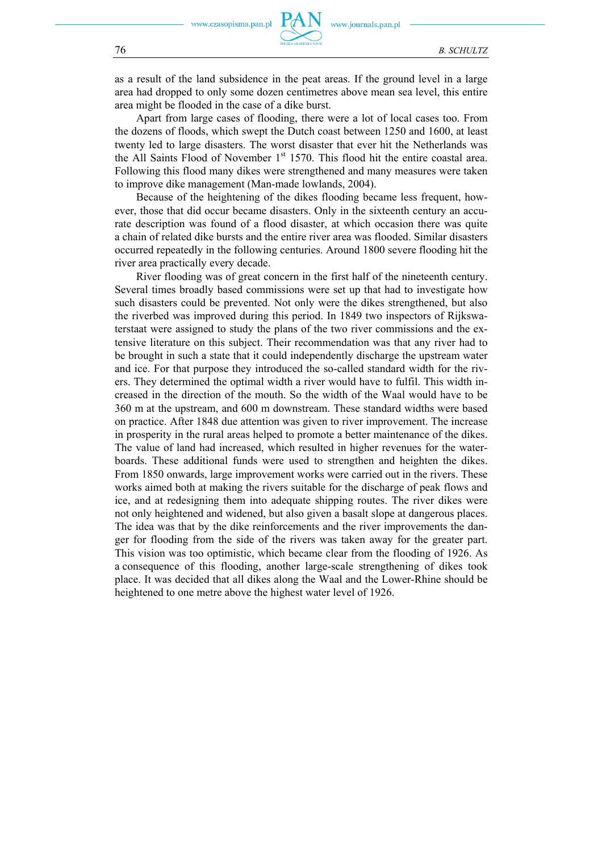as a result of the land subsidence in the peat areas. If the ground level in a large area had dropped to only some dozen centimetres above mean sea level, this entire area might be flooded in the case of a dike burst.

Apart from large cases of flooding, there were a lot of local cases too. From the dozens of floods, which swept the Dutch coast between 1250 and 1600, at least twenty led to large disasters. The worst disaster that ever hit the Netherlands was the All Saints Flood of November  $1<sup>st</sup>$  1570. This flood hit the entire coastal area. Following this flood many dikes were strengthened and many measures were taken to improve dike management (Man-made lowlands, 2004).

Because of the heightening of the dikes flooding became less frequent, however, those that did occur became disasters. Only in the sixteenth century an accurate description was found of a flood disaster, at which occasion there was quite a chain of related dike bursts and the entire river area was flooded. Similar disasters occurred repeatedly in the following centuries. Around 1800 severe flooding hit the river area practically every decade.

River flooding was of great concern in the first half of the nineteenth century. Several times broadly based commissions were set up that had to investigate how such disasters could be prevented. Not only were the dikes strengthened, but also the riverbed was improved during this period. In 1849 two inspectors of Rijkswaterstaat were assigned to study the plans of the two river commissions and the extensive literature on this subject. Their recommendation was that any river had to be brought in such a state that it could independently discharge the upstream water and ice. For that purpose they introduced the so-called standard width for the rivers. They determined the optimal width a river would have to fulfil. This width increased in the direction of the mouth. So the width of the Waal would have to be 360 m at the upstream, and 600 m downstream. These standard widths were based on practice. After 1848 due attention was given to river improvement. The increase in prosperity in the rural areas helped to promote a better maintenance of the dikes. The value of land had increased, which resulted in higher revenues for the waterboards. These additional funds were used to strengthen and heighten the dikes. From 1850 onwards, large improvement works were carried out in the rivers. These works aimed both at making the rivers suitable for the discharge of peak flows and ice, and at redesigning them into adequate shipping routes. The river dikes were not only heightened and widened, but also given a basalt slope at dangerous places. The idea was that by the dike reinforcements and the river improvements the danger for flooding from the side of the rivers was taken away for the greater part. This vision was too optimistic, which became clear from the flooding of 1926. As a consequence of this flooding, another large-scale strengthening of dikes took place. It was decided that all dikes along the Waal and the Lower-Rhine should be heightened to one metre above the highest water level of 1926.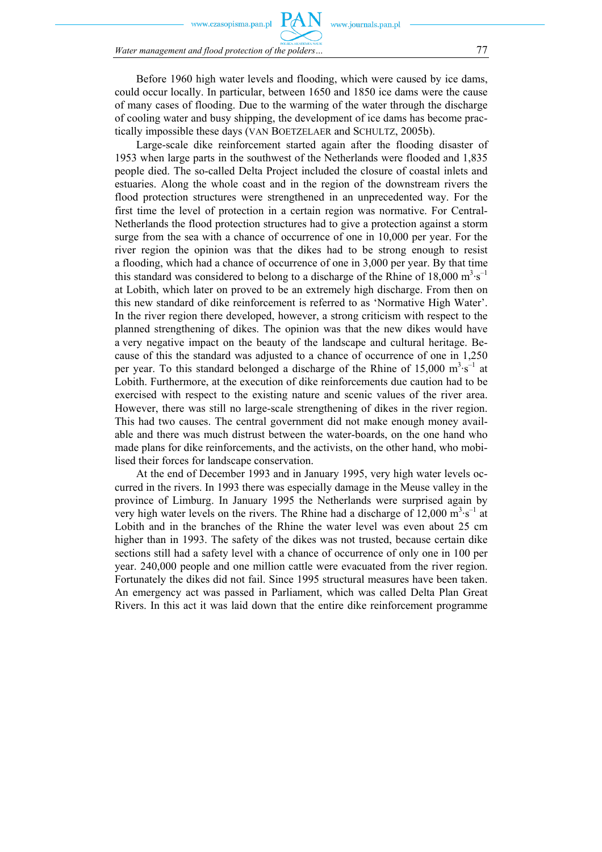zasopisma.pan.pl

*Water management and flood protection of the polders…* 77

Before 1960 high water levels and flooding, which were caused by ice dams, could occur locally. In particular, between 1650 and 1850 ice dams were the cause of many cases of flooding. Due to the warming of the water through the discharge of cooling water and busy shipping, the development of ice dams has become practically impossible these days (VAN BOETZELAER and SCHULTZ, 2005b).

Large-scale dike reinforcement started again after the flooding disaster of 1953 when large parts in the southwest of the Netherlands were flooded and 1,835 people died. The so-called Delta Project included the closure of coastal inlets and estuaries. Along the whole coast and in the region of the downstream rivers the flood protection structures were strengthened in an unprecedented way. For the first time the level of protection in a certain region was normative. For Central-Netherlands the flood protection structures had to give a protection against a storm surge from the sea with a chance of occurrence of one in 10,000 per year. For the river region the opinion was that the dikes had to be strong enough to resist a flooding, which had a chance of occurrence of one in 3,000 per year. By that time this standard was considered to belong to a discharge of the Rhine of  $18,000 \text{ m}^3 \cdot \text{s}^{-1}$ at Lobith, which later on proved to be an extremely high discharge. From then on this new standard of dike reinforcement is referred to as 'Normative High Water'. In the river region there developed, however, a strong criticism with respect to the planned strengthening of dikes. The opinion was that the new dikes would have a very negative impact on the beauty of the landscape and cultural heritage. Because of this the standard was adjusted to a chance of occurrence of one in 1,250 per year. To this standard belonged a discharge of the Rhine of  $15,000 \text{ m}^3 \cdot \text{s}^{-1}$  at Lobith. Furthermore, at the execution of dike reinforcements due caution had to be exercised with respect to the existing nature and scenic values of the river area. However, there was still no large-scale strengthening of dikes in the river region. This had two causes. The central government did not make enough money available and there was much distrust between the water-boards, on the one hand who made plans for dike reinforcements, and the activists, on the other hand, who mobilised their forces for landscape conservation.

At the end of December 1993 and in January 1995, very high water levels occurred in the rivers. In 1993 there was especially damage in the Meuse valley in the province of Limburg. In January 1995 the Netherlands were surprised again by very high water levels on the rivers. The Rhine had a discharge of  $12,000 \text{ m}^3 \cdot \text{s}^{-1}$  at Lobith and in the branches of the Rhine the water level was even about 25 cm higher than in 1993. The safety of the dikes was not trusted, because certain dike sections still had a safety level with a chance of occurrence of only one in 100 per year. 240,000 people and one million cattle were evacuated from the river region. Fortunately the dikes did not fail. Since 1995 structural measures have been taken. An emergency act was passed in Parliament, which was called Delta Plan Great Rivers. In this act it was laid down that the entire dike reinforcement programme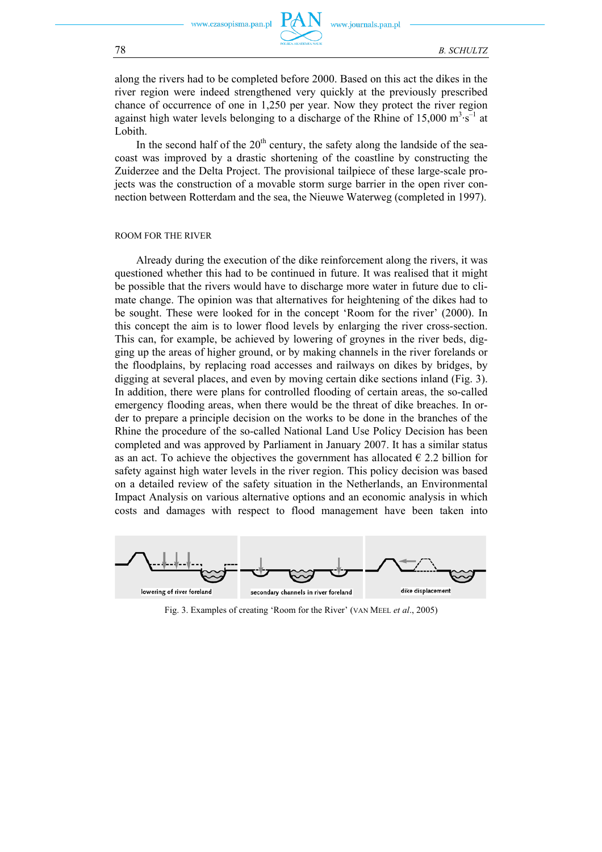www.journals.pan.pl

along the rivers had to be completed before 2000. Based on this act the dikes in the river region were indeed strengthened very quickly at the previously prescribed chance of occurrence of one in 1,250 per year. Now they protect the river region against high water levels belonging to a discharge of the Rhine of  $15,000 \text{ m}^3 \cdot \text{s}^{-1}$  at Lobith.

In the second half of the  $20<sup>th</sup>$  century, the safety along the landside of the seacoast was improved by a drastic shortening of the coastline by constructing the Zuiderzee and the Delta Project. The provisional tailpiece of these large-scale projects was the construction of a movable storm surge barrier in the open river connection between Rotterdam and the sea, the Nieuwe Waterweg (completed in 1997).

#### ROOM FOR THE RIVER

Already during the execution of the dike reinforcement along the rivers, it was questioned whether this had to be continued in future. It was realised that it might be possible that the rivers would have to discharge more water in future due to climate change. The opinion was that alternatives for heightening of the dikes had to be sought. These were looked for in the concept 'Room for the river' (2000). In this concept the aim is to lower flood levels by enlarging the river cross-section. This can, for example, be achieved by lowering of groynes in the river beds, digging up the areas of higher ground, or by making channels in the river forelands or the floodplains, by replacing road accesses and railways on dikes by bridges, by digging at several places, and even by moving certain dike sections inland (Fig. 3). In addition, there were plans for controlled flooding of certain areas, the so-called emergency flooding areas, when there would be the threat of dike breaches. In order to prepare a principle decision on the works to be done in the branches of the Rhine the procedure of the so-called National Land Use Policy Decision has been completed and was approved by Parliament in January 2007. It has a similar status as an act. To achieve the objectives the government has allocated  $\epsilon$  2.2 billion for safety against high water levels in the river region. This policy decision was based on a detailed review of the safety situation in the Netherlands, an Environmental Impact Analysis on various alternative options and an economic analysis in which costs and damages with respect to flood management have been taken into



Fig. 3. Examples of creating 'Room for the River' (VAN MEEL *et al*., 2005)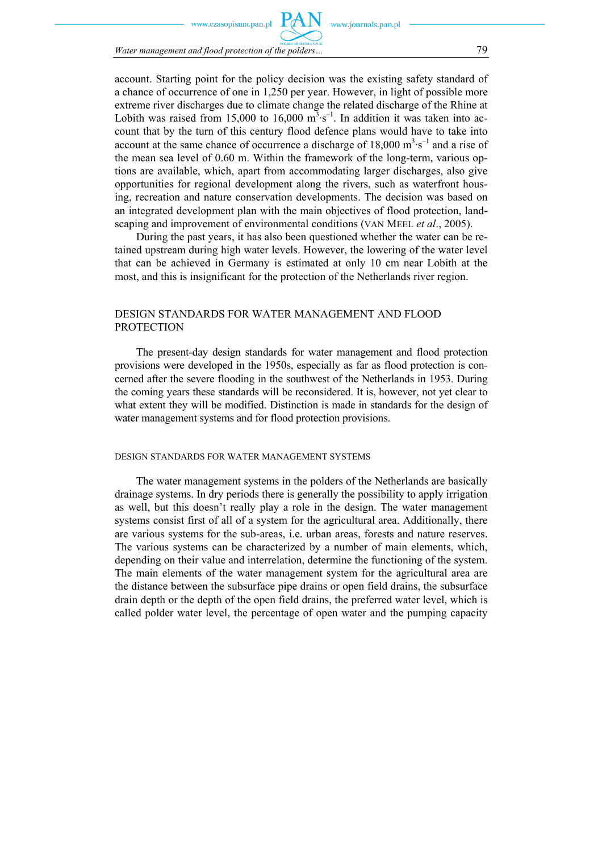zasonisma nan nl

*Water management and flood protection of the polders…* 79

account. Starting point for the policy decision was the existing safety standard of a chance of occurrence of one in 1,250 per year. However, in light of possible more extreme river discharges due to climate change the related discharge of the Rhine at Lobith was raised from 15,000 to 16,000  $m<sup>3</sup>·s<sup>-1</sup>$ . In addition it was taken into account that by the turn of this century flood defence plans would have to take into account at the same chance of occurrence a discharge of  $18,000 \text{ m}^3 \text{·s}^{-1}$  and a rise of the mean sea level of 0.60 m. Within the framework of the long-term, various options are available, which, apart from accommodating larger discharges, also give opportunities for regional development along the rivers, such as waterfront housing, recreation and nature conservation developments. The decision was based on an integrated development plan with the main objectives of flood protection, landscaping and improvement of environmental conditions (VAN MEEL *et al*., 2005).

During the past years, it has also been questioned whether the water can be retained upstream during high water levels. However, the lowering of the water level that can be achieved in Germany is estimated at only 10 cm near Lobith at the most, and this is insignificant for the protection of the Netherlands river region.

### DESIGN STANDARDS FOR WATER MANAGEMENT AND FLOOD **PROTECTION**

The present-day design standards for water management and flood protection provisions were developed in the 1950s, especially as far as flood protection is concerned after the severe flooding in the southwest of the Netherlands in 1953. During the coming years these standards will be reconsidered. It is, however, not yet clear to what extent they will be modified. Distinction is made in standards for the design of water management systems and for flood protection provisions.

#### DESIGN STANDARDS FOR WATER MANAGEMENT SYSTEMS

The water management systems in the polders of the Netherlands are basically drainage systems. In dry periods there is generally the possibility to apply irrigation as well, but this doesn't really play a role in the design. The water management systems consist first of all of a system for the agricultural area. Additionally, there are various systems for the sub-areas, i.e. urban areas, forests and nature reserves. The various systems can be characterized by a number of main elements, which, depending on their value and interrelation, determine the functioning of the system. The main elements of the water management system for the agricultural area are the distance between the subsurface pipe drains or open field drains, the subsurface drain depth or the depth of the open field drains, the preferred water level, which is called polder water level, the percentage of open water and the pumping capacity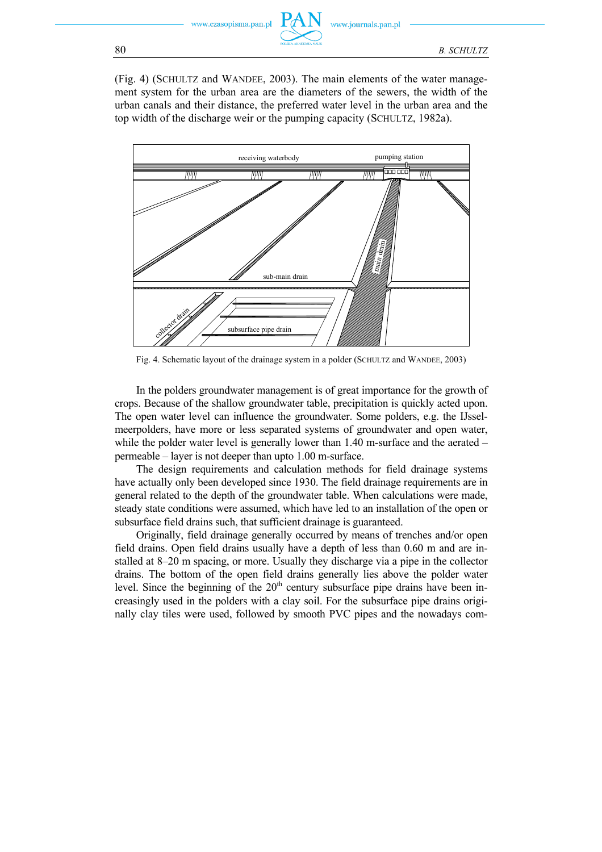

(Fig. 4) (SCHULTZ and WANDEE, 2003). The main elements of the water management system for the urban area are the diameters of the sewers, the width of the urban canals and their distance, the preferred water level in the urban area and the top width of the discharge weir or the pumping capacity (SCHULTZ, 1982a).



Fig. 4. Schematic layout of the drainage system in a polder (SCHULTZ and WANDEE, 2003)

In the polders groundwater management is of great importance for the growth of crops. Because of the shallow groundwater table, precipitation is quickly acted upon. The open water level can influence the groundwater. Some polders, e.g. the IJsselmeerpolders, have more or less separated systems of groundwater and open water, while the polder water level is generally lower than 1.40 m-surface and the aerated – permeable – layer is not deeper than upto 1.00 m-surface.

The design requirements and calculation methods for field drainage systems have actually only been developed since 1930. The field drainage requirements are in general related to the depth of the groundwater table. When calculations were made, steady state conditions were assumed, which have led to an installation of the open or subsurface field drains such, that sufficient drainage is guaranteed.

Originally, field drainage generally occurred by means of trenches and/or open field drains. Open field drains usually have a depth of less than 0.60 m and are installed at 8–20 m spacing, or more. Usually they discharge via a pipe in the collector drains. The bottom of the open field drains generally lies above the polder water level. Since the beginning of the  $20<sup>th</sup>$  century subsurface pipe drains have been increasingly used in the polders with a clay soil. For the subsurface pipe drains originally clay tiles were used, followed by smooth PVC pipes and the nowadays com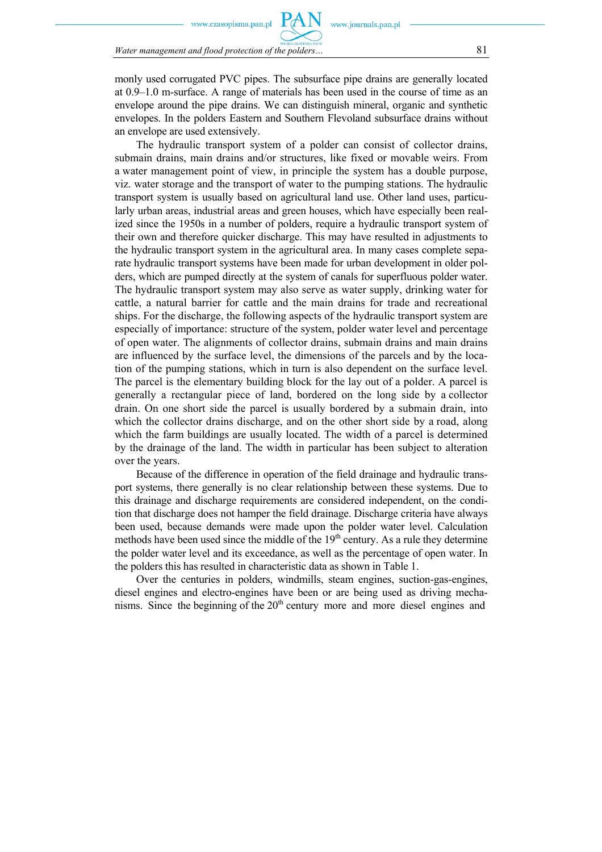zasonisma nan nl

*Water management and flood protection of the polders…* 81

monly used corrugated PVC pipes. The subsurface pipe drains are generally located at 0.9–1.0 m-surface. A range of materials has been used in the course of time as an envelope around the pipe drains. We can distinguish mineral, organic and synthetic envelopes. In the polders Eastern and Southern Flevoland subsurface drains without an envelope are used extensively.

The hydraulic transport system of a polder can consist of collector drains, submain drains, main drains and/or structures, like fixed or movable weirs. From a water management point of view, in principle the system has a double purpose, viz. water storage and the transport of water to the pumping stations. The hydraulic transport system is usually based on agricultural land use. Other land uses, particularly urban areas, industrial areas and green houses, which have especially been realized since the 1950s in a number of polders, require a hydraulic transport system of their own and therefore quicker discharge. This may have resulted in adjustments to the hydraulic transport system in the agricultural area. In many cases complete separate hydraulic transport systems have been made for urban development in older polders, which are pumped directly at the system of canals for superfluous polder water. The hydraulic transport system may also serve as water supply, drinking water for cattle, a natural barrier for cattle and the main drains for trade and recreational ships. For the discharge, the following aspects of the hydraulic transport system are especially of importance: structure of the system, polder water level and percentage of open water. The alignments of collector drains, submain drains and main drains are influenced by the surface level, the dimensions of the parcels and by the location of the pumping stations, which in turn is also dependent on the surface level. The parcel is the elementary building block for the lay out of a polder. A parcel is generally a rectangular piece of land, bordered on the long side by a collector drain. On one short side the parcel is usually bordered by a submain drain, into which the collector drains discharge, and on the other short side by a road, along which the farm buildings are usually located. The width of a parcel is determined by the drainage of the land. The width in particular has been subject to alteration over the years.

Because of the difference in operation of the field drainage and hydraulic transport systems, there generally is no clear relationship between these systems. Due to this drainage and discharge requirements are considered independent, on the condition that discharge does not hamper the field drainage. Discharge criteria have always been used, because demands were made upon the polder water level. Calculation methods have been used since the middle of the  $19<sup>th</sup>$  century. As a rule they determine the polder water level and its exceedance, as well as the percentage of open water. In the polders this has resulted in characteristic data as shown in Table 1.

Over the centuries in polders, windmills, steam engines, suction-gas-engines, diesel engines and electro-engines have been or are being used as driving mechanisms. Since the beginning of the  $20<sup>th</sup>$  century more and more diesel engines and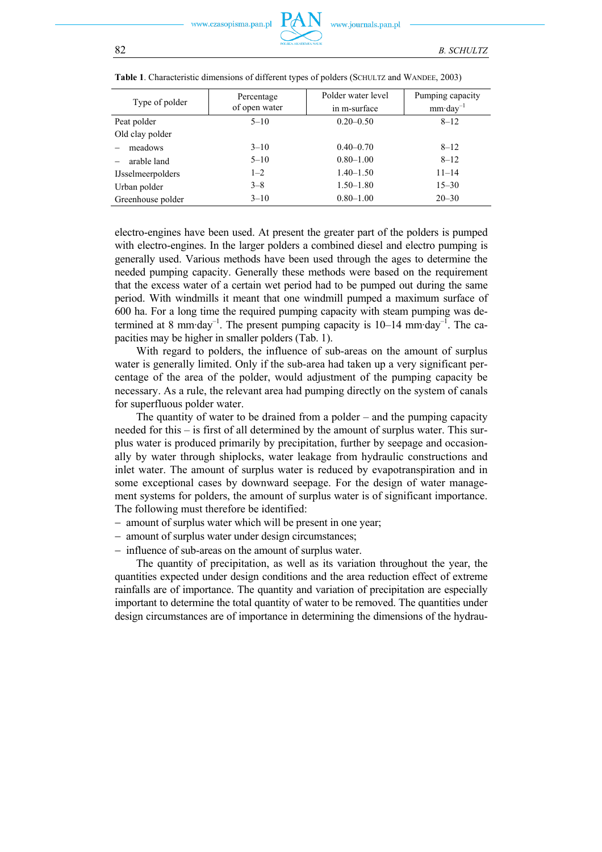ezasonisma pan pl

| Type of polder           | Percentage<br>of open water | Polder water level<br>in m-surface | Pumping capacity<br>$mm \cdot day^{-1}$ |
|--------------------------|-----------------------------|------------------------------------|-----------------------------------------|
| Peat polder              | $5 - 10$                    | $0.20 - 0.50$                      | $8 - 12$                                |
| Old clay polder          |                             |                                    |                                         |
| meadows                  | $3 - 10$                    | $0.40 - 0.70$                      | $8 - 12$                                |
| arable land              | $5 - 10$                    | $0.80 - 1.00$                      | $8 - 12$                                |
| <b>IJsselmeerpolders</b> | $1 - 2$                     | $1.40 - 1.50$                      | $11 - 14$                               |
| Urban polder             | $3 - 8$                     | $1.50 - 1.80$                      | $15 - 30$                               |
| Greenhouse polder        | $3 - 10$                    | $0.80 - 1.00$                      | $20 - 30$                               |

|  |  |  |  |  |  | Table 1. Characteristic dimensions of different types of polders (SCHULTZ and WANDEE, 2003) |
|--|--|--|--|--|--|---------------------------------------------------------------------------------------------|
|--|--|--|--|--|--|---------------------------------------------------------------------------------------------|

electro-engines have been used. At present the greater part of the polders is pumped with electro-engines. In the larger polders a combined diesel and electro pumping is generally used. Various methods have been used through the ages to determine the needed pumping capacity. Generally these methods were based on the requirement that the excess water of a certain wet period had to be pumped out during the same period. With windmills it meant that one windmill pumped a maximum surface of 600 ha. For a long time the required pumping capacity with steam pumping was determined at 8 mm·day<sup>-1</sup>. The present pumping capacity is  $10-14$  mm·day<sup>-1</sup>. The capacities may be higher in smaller polders (Tab. 1).

With regard to polders, the influence of sub-areas on the amount of surplus water is generally limited. Only if the sub-area had taken up a very significant percentage of the area of the polder, would adjustment of the pumping capacity be necessary. As a rule, the relevant area had pumping directly on the system of canals for superfluous polder water.

The quantity of water to be drained from a polder – and the pumping capacity needed for this – is first of all determined by the amount of surplus water. This surplus water is produced primarily by precipitation, further by seepage and occasionally by water through shiplocks, water leakage from hydraulic constructions and inlet water. The amount of surplus water is reduced by evapotranspiration and in some exceptional cases by downward seepage. For the design of water management systems for polders, the amount of surplus water is of significant importance. The following must therefore be identified:

- − amount of surplus water which will be present in one year;
- − amount of surplus water under design circumstances;
- − influence of sub-areas on the amount of surplus water.

The quantity of precipitation, as well as its variation throughout the year, the quantities expected under design conditions and the area reduction effect of extreme rainfalls are of importance. The quantity and variation of precipitation are especially important to determine the total quantity of water to be removed. The quantities under design circumstances are of importance in determining the dimensions of the hydrau-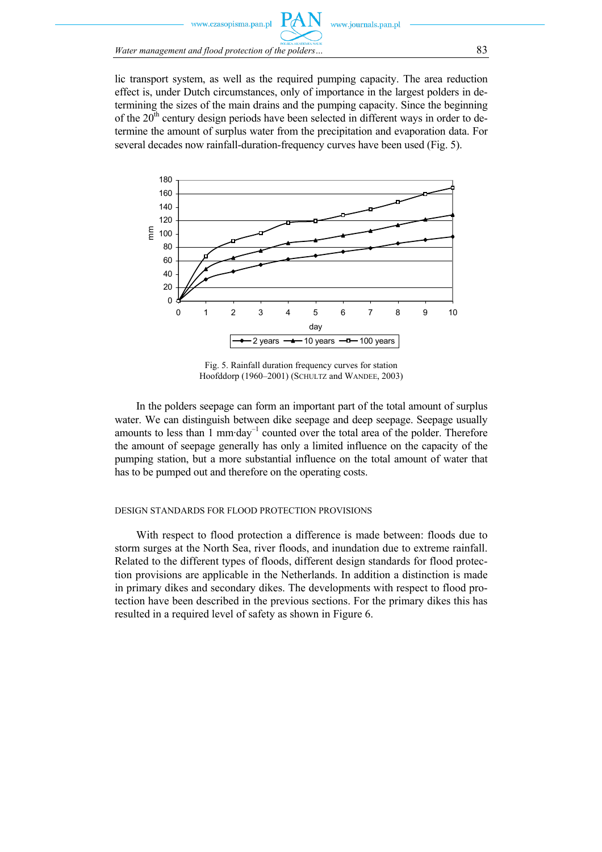

lic transport system, as well as the required pumping capacity. The area reduction effect is, under Dutch circumstances, only of importance in the largest polders in determining the sizes of the main drains and the pumping capacity. Since the beginning of the  $20<sup>th</sup>$  century design periods have been selected in different ways in order to determine the amount of surplus water from the precipitation and evaporation data. For several decades now rainfall-duration-frequency curves have been used (Fig. 5).



Fig. 5. Rainfall duration frequency curves for station Hoofddorp (1960–2001) (SCHULTZ and WANDEE, 2003)

In the polders seepage can form an important part of the total amount of surplus water. We can distinguish between dike seepage and deep seepage. Seepage usually amounts to less than 1 mm·day–1 counted over the total area of the polder. Therefore the amount of seepage generally has only a limited influence on the capacity of the pumping station, but a more substantial influence on the total amount of water that has to be pumped out and therefore on the operating costs.

#### DESIGN STANDARDS FOR FLOOD PROTECTION PROVISIONS

With respect to flood protection a difference is made between: floods due to storm surges at the North Sea, river floods, and inundation due to extreme rainfall. Related to the different types of floods, different design standards for flood protection provisions are applicable in the Netherlands. In addition a distinction is made in primary dikes and secondary dikes. The developments with respect to flood protection have been described in the previous sections. For the primary dikes this has resulted in a required level of safety as shown in Figure 6.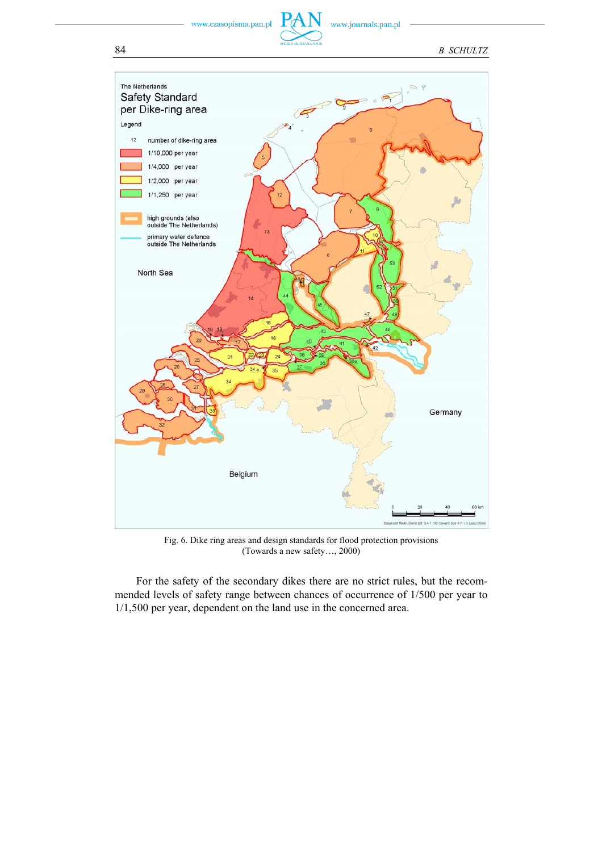www.czasopisma.pan.pl

www.journals.pan.pl



Fig. 6. Dike ring areas and design standards for flood protection provisions (Towards a new safety…, 2000)

For the safety of the secondary dikes there are no strict rules, but the recommended levels of safety range between chances of occurrence of 1/500 per year to 1/1,500 per year, dependent on the land use in the concerned area.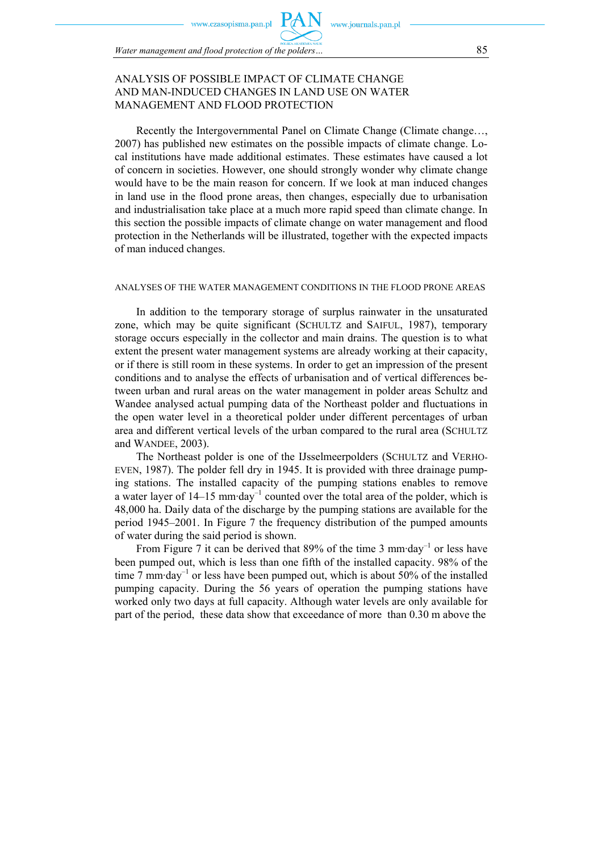sonisma nan nl

*Water management and flood protection of the polders…* 85

# ANALYSIS OF POSSIBLE IMPACT OF CLIMATE CHANGE AND MAN-INDUCED CHANGES IN LAND USE ON WATER MANAGEMENT AND FLOOD PROTECTION

Recently the Intergovernmental Panel on Climate Change (Climate change…, 2007) has published new estimates on the possible impacts of climate change. Local institutions have made additional estimates. These estimates have caused a lot of concern in societies. However, one should strongly wonder why climate change would have to be the main reason for concern. If we look at man induced changes in land use in the flood prone areas, then changes, especially due to urbanisation and industrialisation take place at a much more rapid speed than climate change. In this section the possible impacts of climate change on water management and flood protection in the Netherlands will be illustrated, together with the expected impacts of man induced changes.

www.iournals.nan.nl

### ANALYSES OF THE WATER MANAGEMENT CONDITIONS IN THE FLOOD PRONE AREAS

In addition to the temporary storage of surplus rainwater in the unsaturated zone, which may be quite significant (SCHULTZ and SAIFUL, 1987), temporary storage occurs especially in the collector and main drains. The question is to what extent the present water management systems are already working at their capacity, or if there is still room in these systems. In order to get an impression of the present conditions and to analyse the effects of urbanisation and of vertical differences between urban and rural areas on the water management in polder areas Schultz and Wandee analysed actual pumping data of the Northeast polder and fluctuations in the open water level in a theoretical polder under different percentages of urban area and different vertical levels of the urban compared to the rural area (SCHULTZ and WANDEE, 2003).

The Northeast polder is one of the IJsselmeerpolders (SCHULTZ and VERHO-EVEN, 1987). The polder fell dry in 1945. It is provided with three drainage pumping stations. The installed capacity of the pumping stations enables to remove a water layer of  $14-15$  mm·day<sup>-1</sup> counted over the total area of the polder, which is 48,000 ha. Daily data of the discharge by the pumping stations are available for the period 1945–2001. In Figure 7 the frequency distribution of the pumped amounts of water during the said period is shown.

From Figure 7 it can be derived that 89% of the time 3 mm·day<sup>-1</sup> or less have been pumped out, which is less than one fifth of the installed capacity. 98% of the time 7 mm·day<sup>-1</sup> or less have been pumped out, which is about 50% of the installed pumping capacity. During the 56 years of operation the pumping stations have worked only two days at full capacity. Although water levels are only available for part of the period, these data show that exceedance of more than 0.30 m above the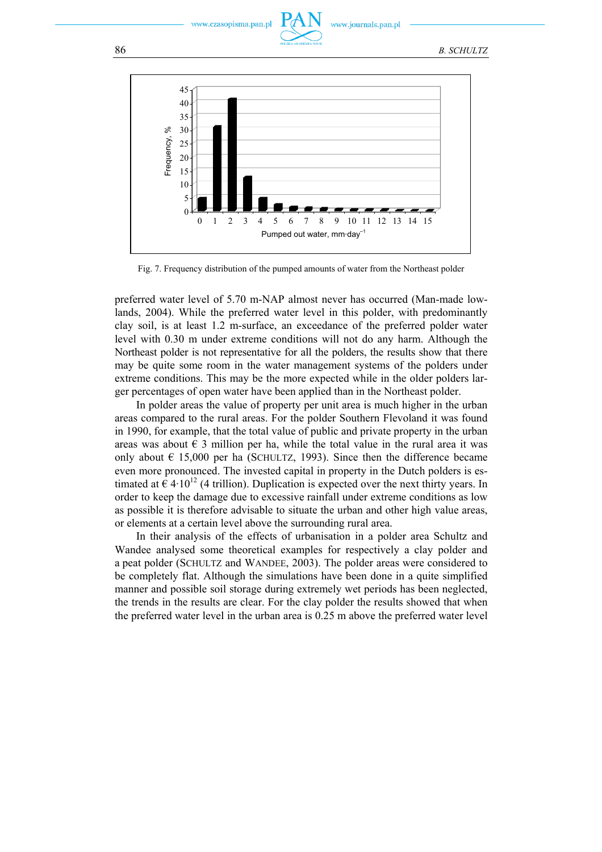.czasopisma.pan.pl

w.iournals.pan.pl

86 *B. SCHULTZ*



Fig. 7. Frequency distribution of the pumped amounts of water from the Northeast polder

preferred water level of 5.70 m-NAP almost never has occurred (Man-made lowlands, 2004). While the preferred water level in this polder, with predominantly clay soil, is at least 1.2 m-surface, an exceedance of the preferred polder water level with 0.30 m under extreme conditions will not do any harm. Although the Northeast polder is not representative for all the polders, the results show that there may be quite some room in the water management systems of the polders under extreme conditions. This may be the more expected while in the older polders larger percentages of open water have been applied than in the Northeast polder.

In polder areas the value of property per unit area is much higher in the urban areas compared to the rural areas. For the polder Southern Flevoland it was found in 1990, for example, that the total value of public and private property in the urban areas was about  $\epsilon$  3 million per ha, while the total value in the rural area it was only about  $\epsilon$  15,000 per ha (SCHULTZ, 1993). Since then the difference became even more pronounced. The invested capital in property in the Dutch polders is estimated at  $\epsilon$  4·10<sup>12</sup> (4 trillion). Duplication is expected over the next thirty years. In order to keep the damage due to excessive rainfall under extreme conditions as low as possible it is therefore advisable to situate the urban and other high value areas, or elements at a certain level above the surrounding rural area.

In their analysis of the effects of urbanisation in a polder area Schultz and Wandee analysed some theoretical examples for respectively a clay polder and a peat polder (SCHULTZ and WANDEE, 2003). The polder areas were considered to be completely flat. Although the simulations have been done in a quite simplified manner and possible soil storage during extremely wet periods has been neglected, the trends in the results are clear. For the clay polder the results showed that when the preferred water level in the urban area is 0.25 m above the preferred water level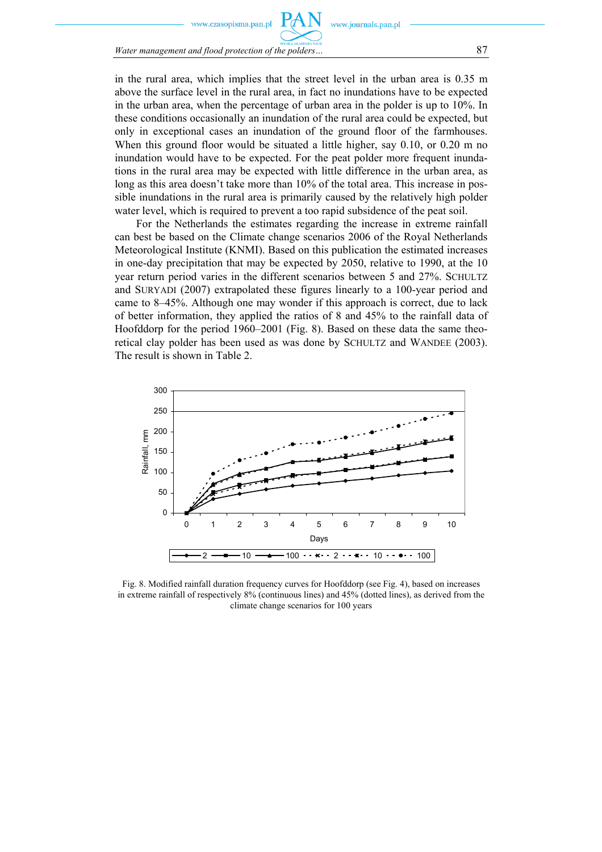zasopisma.pan.pl

*Water management and flood protection of the polders…* 87

in the rural area, which implies that the street level in the urban area is 0.35 m above the surface level in the rural area, in fact no inundations have to be expected in the urban area, when the percentage of urban area in the polder is up to 10%. In these conditions occasionally an inundation of the rural area could be expected, but only in exceptional cases an inundation of the ground floor of the farmhouses. When this ground floor would be situated a little higher, say 0.10, or 0.20 m no inundation would have to be expected. For the peat polder more frequent inundations in the rural area may be expected with little difference in the urban area, as long as this area doesn't take more than 10% of the total area. This increase in possible inundations in the rural area is primarily caused by the relatively high polder water level, which is required to prevent a too rapid subsidence of the peat soil.

For the Netherlands the estimates regarding the increase in extreme rainfall can best be based on the Climate change scenarios 2006 of the Royal Netherlands Meteorological Institute (KNMI). Based on this publication the estimated increases in one-day precipitation that may be expected by 2050, relative to 1990, at the 10 year return period varies in the different scenarios between 5 and 27%. SCHULTZ and SURYADI (2007) extrapolated these figures linearly to a 100-year period and came to 8–45%. Although one may wonder if this approach is correct, due to lack of better information, they applied the ratios of 8 and 45% to the rainfall data of Hoofddorp for the period 1960–2001 (Fig. 8). Based on these data the same theoretical clay polder has been used as was done by SCHULTZ and WANDEE (2003). The result is shown in Table 2.



Fig. 8. Modified rainfall duration frequency curves for Hoofddorp (see Fig. 4), based on increases in extreme rainfall of respectively 8% (continuous lines) and 45% (dotted lines), as derived from the climate change scenarios for 100 years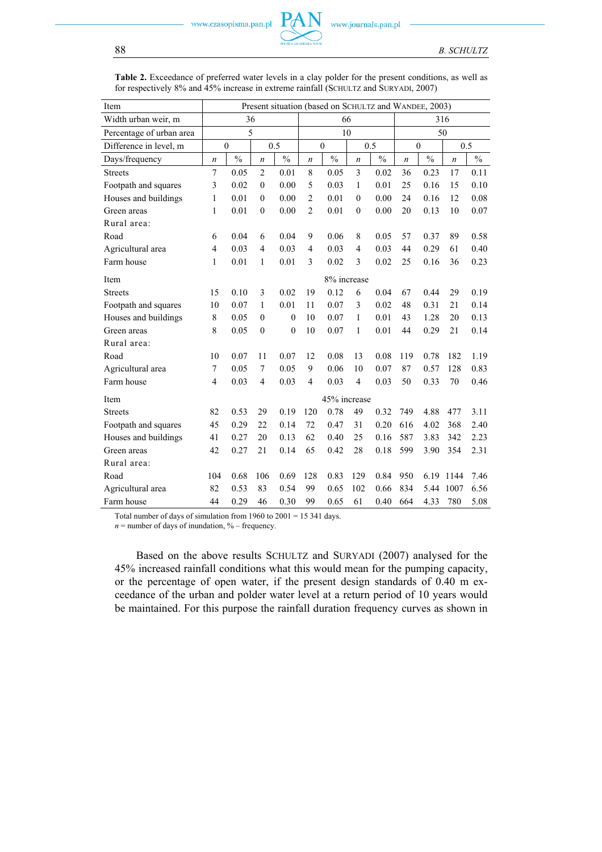| Item                     | Present situation (based on SCHULTZ and WANDEE, 2003) |               |                     |               |                         |               |                  |      |                  |               |                  |      |
|--------------------------|-------------------------------------------------------|---------------|---------------------|---------------|-------------------------|---------------|------------------|------|------------------|---------------|------------------|------|
| Width urban weir, m      | 36                                                    |               |                     | 66            |                         |               |                  | 316  |                  |               |                  |      |
| Percentage of urban area | 5                                                     |               |                     | 10            |                         |               |                  | 50   |                  |               |                  |      |
| Difference in level, m   | $\boldsymbol{0}$<br>0.5                               |               | 0.5<br>$\mathbf{0}$ |               | $\boldsymbol{0}$<br>0.5 |               |                  |      |                  |               |                  |      |
| Days/frequency           | $\boldsymbol{n}$                                      | $\frac{0}{0}$ | $\boldsymbol{n}$    | $\frac{0}{0}$ | $\boldsymbol{n}$        | $\frac{0}{0}$ | $\boldsymbol{n}$ | $\%$ | $\boldsymbol{n}$ | $\frac{0}{6}$ | $\boldsymbol{n}$ | $\%$ |
| <b>Streets</b>           | $\overline{7}$                                        | 0.05          | $\overline{2}$      | 0.01          | 8                       | 0.05          | 3                | 0.02 | 36               | 0.23          | 17               | 0.11 |
| Footpath and squares     | 3                                                     | 0.02          | $\mathbf{0}$        | 0.00          | 5                       | 0.03          | 1                | 0.01 | 25               | 0.16          | 15               | 0.10 |
| Houses and buildings     | $\mathbf{1}$                                          | 0.01          | $\overline{0}$      | 0.00          | $\overline{2}$          | 0.01          | $\theta$         | 0.00 | 24               | 0.16          | 12               | 0.08 |
| Green areas              | 1                                                     | 0.01          | $\mathbf{0}$        | 0.00          | $\overline{2}$          | 0.01          | $\theta$         | 0.00 | 20               | 0.13          | 10               | 0.07 |
| Rural area:              |                                                       |               |                     |               |                         |               |                  |      |                  |               |                  |      |
| Road                     | 6                                                     | 0.04          | 6                   | 0.04          | 9                       | 0.06          | 8                | 0.05 | 57               | 0.37          | 89               | 0.58 |
| Agricultural area        | 4                                                     | 0.03          | 4                   | 0.03          | $\overline{4}$          | 0.03          | $\overline{4}$   | 0.03 | 44               | 0.29          | 61               | 0.40 |
| Farm house               | $\mathbf{1}$                                          | 0.01          | 1                   | 0.01          | 3                       | 0.02          | 3                | 0.02 | 25               | 0.16          | 36               | 0.23 |
| Item                     | 8% increase                                           |               |                     |               |                         |               |                  |      |                  |               |                  |      |
| <b>Streets</b>           | 15                                                    | 0.10          | 3                   | 0.02          | 19                      | 0.12          | 6                | 0.04 | 67               | 0.44          | 29               | 0.19 |
| Footpath and squares     | 10                                                    | 0.07          | 1                   | 0.01          | 11                      | 0.07          | 3                | 0.02 | 48               | 0.31          | 21               | 0.14 |
| Houses and buildings     | 8                                                     | 0.05          | $\theta$            | $\theta$      | 10                      | 0.07          | $\mathbf{1}$     | 0.01 | 43               | 1.28          | 20               | 0.13 |
| Green areas              | 8                                                     | 0.05          | $\theta$            | $\mathbf{0}$  | 10                      | 0.07          | 1                | 0.01 | 44               | 0.29          | 21               | 0.14 |
| Rural area:              |                                                       |               |                     |               |                         |               |                  |      |                  |               |                  |      |
| Road                     | 10                                                    | 0.07          | 11                  | 0.07          | 12                      | 0.08          | 13               | 0.08 | 119              | 0.78          | 182              | 1.19 |
| Agricultural area        | 7                                                     | 0.05          | 7                   | 0.05          | 9                       | 0.06          | 10               | 0.07 | 87               | 0.57          | 128              | 0.83 |
| Farm house               | $\overline{4}$                                        | 0.03          | $\overline{4}$      | 0.03          | $\overline{4}$          | 0.03          | $\overline{4}$   | 0.03 | 50               | 0.33          | 70               | 0.46 |
| Item                     | 45% increase                                          |               |                     |               |                         |               |                  |      |                  |               |                  |      |
| <b>Streets</b>           | 82                                                    | 0.53          | 29                  | 0.19          | 120                     | 0.78          | 49               | 0.32 | 749              | 4.88          | 477              | 3.11 |
| Footpath and squares     | 45                                                    | 0.29          | 22                  | 0.14          | 72                      | 0.47          | 31               | 0.20 | 616              | 4.02          | 368              | 2.40 |
| Houses and buildings     | 41                                                    | 0.27          | 20                  | 0.13          | 62                      | 0.40          | 25               | 0.16 | 587              | 3.83          | 342              | 2.23 |
| Green areas              | 42                                                    | 0.27          | 21                  | 0.14          | 65                      | 0.42          | 28               | 0.18 | 599              | 3.90          | 354              | 2.31 |
| Rural area:              |                                                       |               |                     |               |                         |               |                  |      |                  |               |                  |      |
| Road                     | 104                                                   | 0.68          | 106                 | 0.69          | 128                     | 0.83          | 129              | 0.84 | 950              | 6.19          | 1144             | 7.46 |
| Agricultural area        | 82                                                    | 0.53          | 83                  | 0.54          | 99                      | 0.65          | 102              | 0.66 | 834              | 5.44          | 1007             | 6.56 |
| Farm house               | 44                                                    | 0.29          | 46                  | 0.30          | 99                      | 0.65          | 61               | 0.40 | 664              | 4.33          | 780              | 5.08 |

**Table 2.** Exceedance of preferred water levels in a clay polder for the present conditions, as well as for respectively 8% and 45% increase in extreme rainfall (SCHULTZ and SURYADI, 2007)

Total number of days of simulation from 1960 to 2001 = 15 341 days.

 $n =$  number of days of inundation,  $%$  – frequency.

Based on the above results SCHULTZ and SURYADI (2007) analysed for the 45% increased rainfall conditions what this would mean for the pumping capacity, or the percentage of open water, if the present design standards of 0.40 m exceedance of the urban and polder water level at a return period of 10 years would be maintained. For this purpose the rainfall duration frequency curves as shown in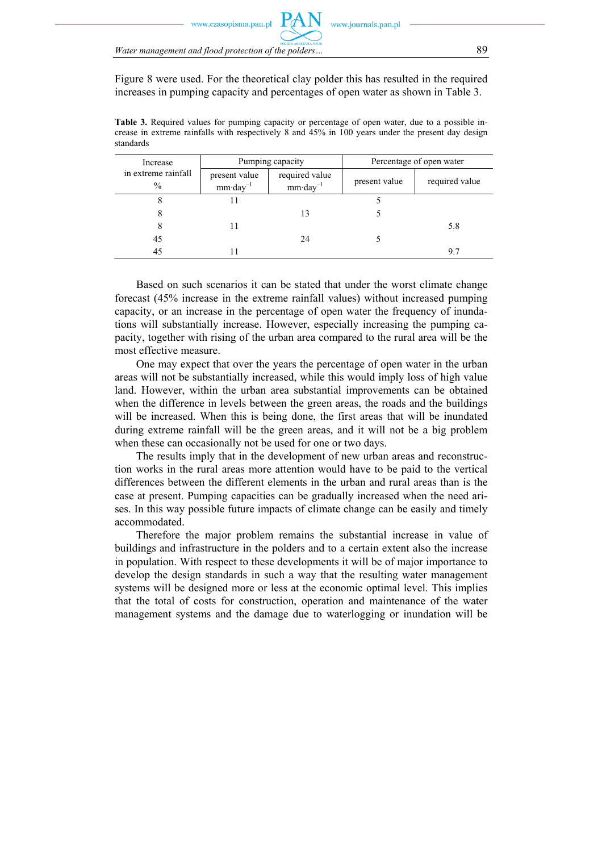Figure 8 were used. For the theoretical clay polder this has resulted in the required increases in pumping capacity and percentages of open water as shown in Table 3.

**Table 3.** Required values for pumping capacity or percentage of open water, due to a possible increase in extreme rainfalls with respectively 8 and 45% in 100 years under the present day design standards

| Increase                             |                                      | Pumping capacity                      | Percentage of open water |                |  |
|--------------------------------------|--------------------------------------|---------------------------------------|--------------------------|----------------|--|
| in extreme rainfall<br>$\frac{0}{0}$ | present value<br>$mm \cdot day^{-1}$ | required value<br>$mm \cdot day^{-1}$ | present value            | required value |  |
| 8                                    |                                      |                                       |                          |                |  |
|                                      |                                      |                                       |                          |                |  |
|                                      |                                      |                                       |                          | 5.8            |  |
| 45                                   |                                      | 24                                    |                          |                |  |
| 45                                   |                                      |                                       |                          | 9.7            |  |

Based on such scenarios it can be stated that under the worst climate change forecast (45% increase in the extreme rainfall values) without increased pumping capacity, or an increase in the percentage of open water the frequency of inundations will substantially increase. However, especially increasing the pumping capacity, together with rising of the urban area compared to the rural area will be the most effective measure.

One may expect that over the years the percentage of open water in the urban areas will not be substantially increased, while this would imply loss of high value land. However, within the urban area substantial improvements can be obtained when the difference in levels between the green areas, the roads and the buildings will be increased. When this is being done, the first areas that will be inundated during extreme rainfall will be the green areas, and it will not be a big problem when these can occasionally not be used for one or two days.

The results imply that in the development of new urban areas and reconstruction works in the rural areas more attention would have to be paid to the vertical differences between the different elements in the urban and rural areas than is the case at present. Pumping capacities can be gradually increased when the need arises. In this way possible future impacts of climate change can be easily and timely accommodated.

Therefore the major problem remains the substantial increase in value of buildings and infrastructure in the polders and to a certain extent also the increase in population. With respect to these developments it will be of major importance to develop the design standards in such a way that the resulting water management systems will be designed more or less at the economic optimal level. This implies that the total of costs for construction, operation and maintenance of the water management systems and the damage due to waterlogging or inundation will be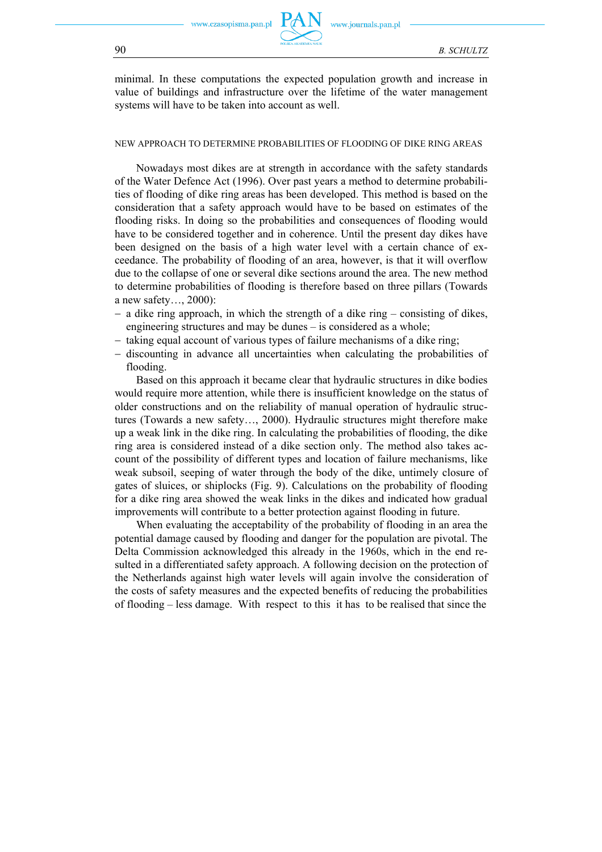

minimal. In these computations the expected population growth and increase in value of buildings and infrastructure over the lifetime of the water management systems will have to be taken into account as well.

#### NEW APPROACH TO DETERMINE PROBABILITIES OF FLOODING OF DIKE RING AREAS

Nowadays most dikes are at strength in accordance with the safety standards of the Water Defence Act (1996). Over past years a method to determine probabilities of flooding of dike ring areas has been developed. This method is based on the consideration that a safety approach would have to be based on estimates of the flooding risks. In doing so the probabilities and consequences of flooding would have to be considered together and in coherence. Until the present day dikes have been designed on the basis of a high water level with a certain chance of exceedance. The probability of flooding of an area, however, is that it will overflow due to the collapse of one or several dike sections around the area. The new method to determine probabilities of flooding is therefore based on three pillars (Towards a new safety…, 2000):

- − a dike ring approach, in which the strength of a dike ring consisting of dikes, engineering structures and may be dunes – is considered as a whole;
- − taking equal account of various types of failure mechanisms of a dike ring;
- − discounting in advance all uncertainties when calculating the probabilities of flooding.

Based on this approach it became clear that hydraulic structures in dike bodies would require more attention, while there is insufficient knowledge on the status of older constructions and on the reliability of manual operation of hydraulic structures (Towards a new safety…, 2000). Hydraulic structures might therefore make up a weak link in the dike ring. In calculating the probabilities of flooding, the dike ring area is considered instead of a dike section only. The method also takes account of the possibility of different types and location of failure mechanisms, like weak subsoil, seeping of water through the body of the dike, untimely closure of gates of sluices, or shiplocks (Fig. 9). Calculations on the probability of flooding for a dike ring area showed the weak links in the dikes and indicated how gradual improvements will contribute to a better protection against flooding in future.

When evaluating the acceptability of the probability of flooding in an area the potential damage caused by flooding and danger for the population are pivotal. The Delta Commission acknowledged this already in the 1960s, which in the end resulted in a differentiated safety approach. A following decision on the protection of the Netherlands against high water levels will again involve the consideration of the costs of safety measures and the expected benefits of reducing the probabilities of flooding – less damage. With respect to this it has to be realised that since the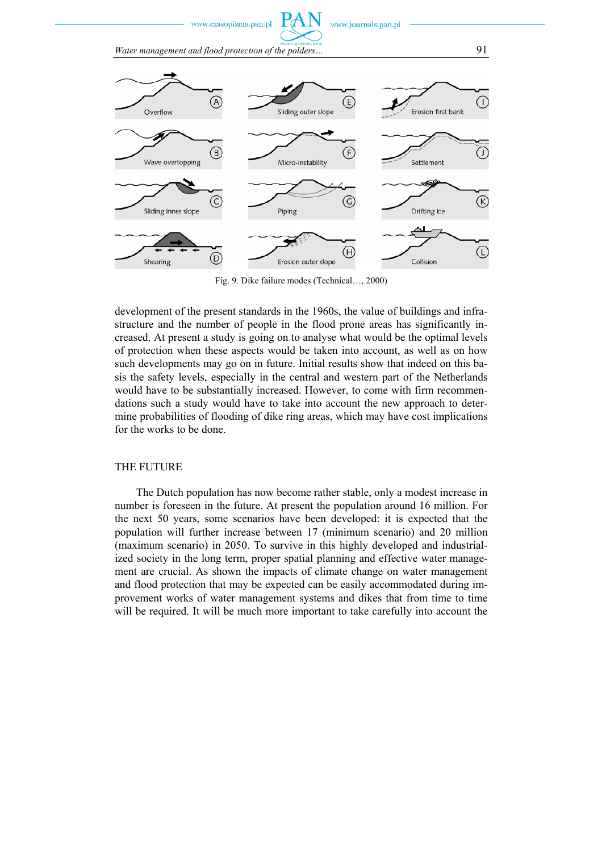w.czasopisma.pan.pl

www.journals.pan.pl

*Water management and flood protection of the polders…* 91



Fig. 9. Dike failure modes (Technical…, 2000)

development of the present standards in the 1960s, the value of buildings and infrastructure and the number of people in the flood prone areas has significantly increased. At present a study is going on to analyse what would be the optimal levels of protection when these aspects would be taken into account, as well as on how such developments may go on in future. Initial results show that indeed on this basis the safety levels, especially in the central and western part of the Netherlands would have to be substantially increased. However, to come with firm recommendations such a study would have to take into account the new approach to determine probabilities of flooding of dike ring areas, which may have cost implications for the works to be done.

### THE FUTURE

The Dutch population has now become rather stable, only a modest increase in number is foreseen in the future. At present the population around 16 million. For the next 50 years, some scenarios have been developed: it is expected that the population will further increase between 17 (minimum scenario) and 20 million (maximum scenario) in 2050. To survive in this highly developed and industrialized society in the long term, proper spatial planning and effective water management are crucial. As shown the impacts of climate change on water management and flood protection that may be expected can be easily accommodated during improvement works of water management systems and dikes that from time to time will be required. It will be much more important to take carefully into account the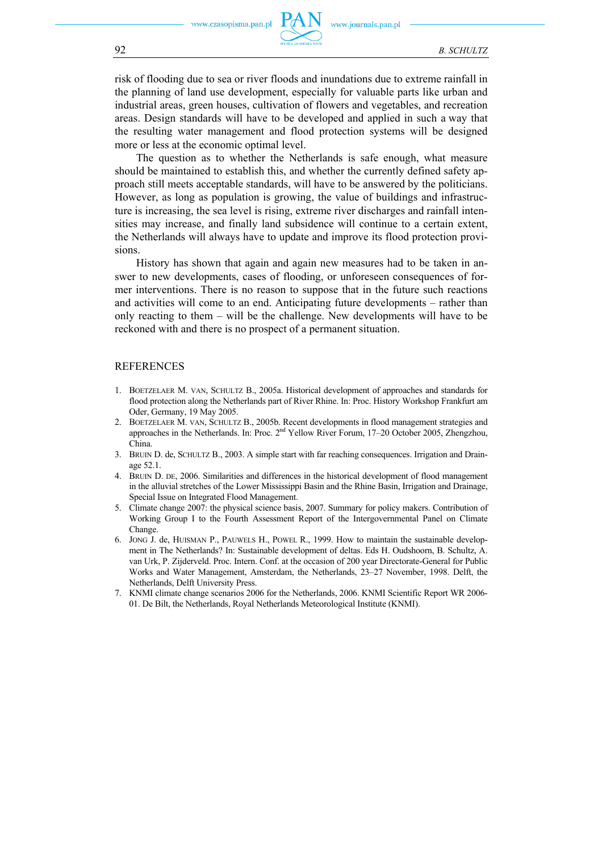risk of flooding due to sea or river floods and inundations due to extreme rainfall in the planning of land use development, especially for valuable parts like urban and industrial areas, green houses, cultivation of flowers and vegetables, and recreation areas. Design standards will have to be developed and applied in such a way that the resulting water management and flood protection systems will be designed more or less at the economic optimal level.

The question as to whether the Netherlands is safe enough, what measure should be maintained to establish this, and whether the currently defined safety approach still meets acceptable standards, will have to be answered by the politicians. However, as long as population is growing, the value of buildings and infrastructure is increasing, the sea level is rising, extreme river discharges and rainfall intensities may increase, and finally land subsidence will continue to a certain extent, the Netherlands will always have to update and improve its flood protection provisions.

History has shown that again and again new measures had to be taken in answer to new developments, cases of flooding, or unforeseen consequences of former interventions. There is no reason to suppose that in the future such reactions and activities will come to an end. Anticipating future developments – rather than only reacting to them – will be the challenge. New developments will have to be reckoned with and there is no prospect of a permanent situation.

### **REFERENCES**

- 1. BOETZELAER M. VAN, SCHULTZ B., 2005a. Historical development of approaches and standards for flood protection along the Netherlands part of River Rhine. In: Proc. History Workshop Frankfurt am Oder, Germany, 19 May 2005.
- 2. BOETZELAER M. VAN, SCHULTZ B., 2005b. Recent developments in flood management strategies and approaches in the Netherlands. In: Proc. 2nd Yellow River Forum, 17–20 October 2005, Zhengzhou, China.
- 3. BRUIN D. de, SCHULTZ B., 2003. A simple start with far reaching consequences. Irrigation and Drainage 52.1.
- 4. BRUIN D. DE, 2006. Similarities and differences in the historical development of flood management in the alluvial stretches of the Lower Mississippi Basin and the Rhine Basin, Irrigation and Drainage, Special Issue on Integrated Flood Management.
- 5. Climate change 2007: the physical science basis, 2007. Summary for policy makers. Contribution of Working Group I to the Fourth Assessment Report of the Intergovernmental Panel on Climate Change.
- 6. JONG J. de, HUISMAN P., PAUWELS H., POWEL R., 1999. How to maintain the sustainable development in The Netherlands? In: Sustainable development of deltas. Eds H. Oudshoorn, B. Schultz, A. van Urk, P. Zijderveld. Proc. Intern. Conf. at the occasion of 200 year Directorate-General for Public Works and Water Management, Amsterdam, the Netherlands, 23–27 November, 1998. Delft, the Netherlands, Delft University Press.
- 7. KNMI climate change scenarios 2006 for the Netherlands, 2006. KNMI Scientific Report WR 2006- 01. De Bilt, the Netherlands, Royal Netherlands Meteorological Institute (KNMI).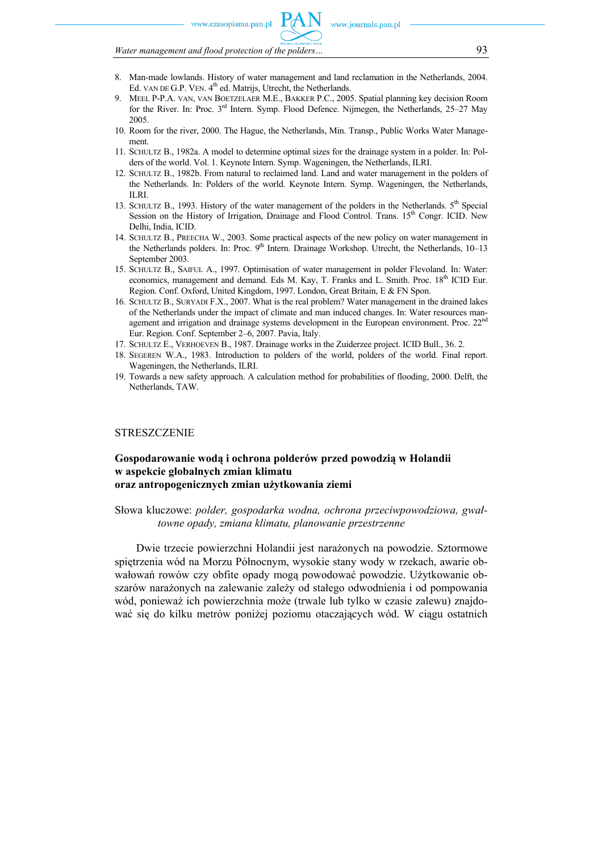www.czasonisma.nan.nl

*Water management and flood protection of the polders…* 93

- 8. Man-made lowlands. History of water management and land reclamation in the Netherlands, 2004. Ed. VAN DE G.P. VEN. 4<sup>th</sup> ed. Matrijs, Utrecht, the Netherlands.
- 9. MEEL P-P.A. VAN, VAN BOETZELAER M.E., BAKKER P.C., 2005. Spatial planning key decision Room for the River. In: Proc. 3rd Intern. Symp. Flood Defence. Nijmegen, the Netherlands, 25–27 May 2005.
- 10. Room for the river, 2000. The Hague, the Netherlands, Min. Transp., Public Works Water Management.
- 11. SCHULTZ B., 1982a. A model to determine optimal sizes for the drainage system in a polder. In: Polders of the world. Vol. 1. Keynote Intern. Symp. Wageningen, the Netherlands, ILRI.
- 12. SCHULTZ B., 1982b. From natural to reclaimed land. Land and water management in the polders of the Netherlands. In: Polders of the world. Keynote Intern. Symp. Wageningen, the Netherlands, ILRI.
- 13. SCHULTZ B., 1993. History of the water management of the polders in the Netherlands.  $5<sup>th</sup>$  Special Session on the History of Irrigation, Drainage and Flood Control. Trans.  $15<sup>th</sup>$  Congr. ICID. New Delhi, India, ICID.
- 14. SCHULTZ B., PREECHA W., 2003. Some practical aspects of the new policy on water management in the Netherlands polders. In: Proc. 9<sup>th</sup> Intern. Drainage Workshop. Utrecht, the Netherlands, 10–13 September 2003.
- 15. SCHULTZ B., SAIFUL A., 1997. Optimisation of water management in polder Flevoland. In: Water: economics, management and demand. Eds M. Kay, T. Franks and L. Smith. Proc. 18<sup>th</sup> ICID Eur. Region. Conf. Oxford, United Kingdom, 1997. London, Great Britain, E & FN Spon.
- 16. SCHULTZ B., SURYADI F.X., 2007. What is the real problem? Water management in the drained lakes of the Netherlands under the impact of climate and man induced changes. In: Water resources management and irrigation and drainage systems development in the European environment. Proc. 22<sup>nd</sup> Eur. Region. Conf. September 2–6, 2007. Pavia, Italy.
- 17. SCHULTZ E., VERHOEVEN B., 1987. Drainage works in the Zuiderzee project. ICID Bull., 36. 2.
- 18. SEGEREN W.A., 1983. Introduction to polders of the world, polders of the world. Final report. Wageningen, the Netherlands, ILRI.
- 19. Towards a new safety approach. A calculation method for probabilities of flooding, 2000. Delft, the Netherlands, TAW.

### **STRESZCZENIE**

### **Gospodarowanie wodą i ochrona polderów przed powodzią w Holandii w aspekcie globalnych zmian klimatu oraz antropogenicznych zmian użytkowania ziemi**

Słowa kluczowe: *polder, gospodarka wodna, ochrona przeciwpowodziowa, gwałtowne opady, zmiana klimatu, planowanie przestrzenne* 

Dwie trzecie powierzchni Holandii jest narażonych na powodzie. Sztormowe spiętrzenia wód na Morzu Północnym, wysokie stany wody w rzekach, awarie obwałowań rowów czy obfite opady mogą powodować powodzie. Użytkowanie obszarów narażonych na zalewanie zależy od stałego odwodnienia i od pompowania wód, ponieważ ich powierzchnia może (trwale lub tylko w czasie zalewu) znajdować się do kilku metrów poniżej poziomu otaczających wód. W ciągu ostatnich